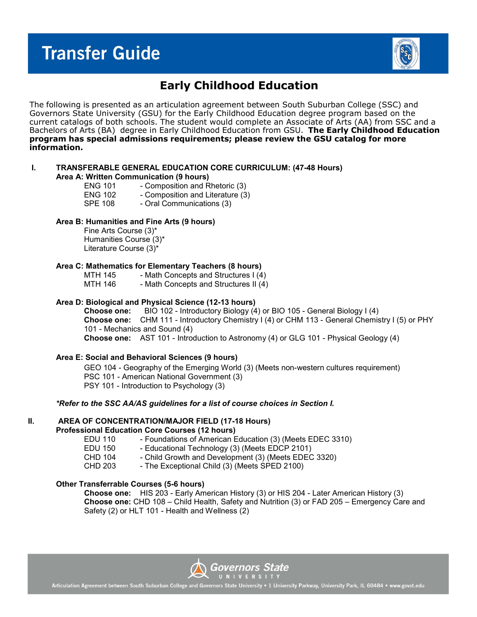# **Transfer Guide**



## **Early Childhood Education**

The following is presented as an articulation agreement between South Suburban College (SSC) and Governors State University (GSU) for the Early Childhood Education degree program based on the current catalogs of both schools. The student would complete an Associate of Arts (AA) from SSC and a Bachelors of Arts (BA) degree in Early Childhood Education from GSU. **The Early Childhood Education program has special admissions requirements; please review the GSU catalog for more information.**

## **I. TRANSFERABLE GENERAL EDUCATION CORE CURRICULUM: (47-48 Hours)**

**Area A: Written Communication (9 hours)**

- ENG 101 Composition and Rhetoric (3) ENG 102 - Composition and Literature (3)<br>SPE 108 - Oral Communications (3)
	- Oral Communications (3)

### **Area B: Humanities and Fine Arts (9 hours)**

Fine Arts Course (3)\* Humanities Course (3)\* Literature Course (3)\*

## **Area C: Mathematics for Elementary Teachers (8 hours)**

MTH 145 - Math Concepts and Structures I (4)<br>MTH 146 - Math Concepts and Structures II (4) - Math Concepts and Structures II (4)

## **Area D: Biological and Physical Science (12-13 hours)**

**Choose one:** BIO 102 - Introductory Biology (4) or BIO 105 - General Biology I (4) **Choose one:** CHM 111 - Introductory Chemistry I (4) or CHM 113 - General Chemistry I (5) or PHY 101 - Mechanics and Sound (4) **Choose one:** AST 101 - Introduction to Astronomy (4) or GLG 101 - Physical Geology (4)

#### **Area E: Social and Behavioral Sciences (9 hours)**

GEO 104 - Geography of the Emerging World (3) (Meets non-western cultures requirement) PSC 101 - American National Government (3) PSY 101 - Introduction to Psychology (3)

### *\*Refer to the SSC AA/AS guidelines for a list of course choices in Section I.*

## **II. AREA OF CONCENTRATION/MAJOR FIELD (17-18 Hours)**

## **Professional Education Core Courses (12 hours)**

EDU 110 - Foundations of American Education (3) (Meets EDEC 3310)

EDU 150 - Educational Technology (3) (Meets EDCP 2101)

- CHD 104 Child Growth and Development (3) (Meets EDEC 3320)
- CHD 203 The Exceptional Child (3) (Meets SPED 2100)

## **Other Transferrable Courses (5-6 hours)**

**Choose one:** HIS 203 - Early American History (3) or HIS 204 - Later American History (3) **Choose one:** CHD 108 – Child Health, Safety and Nutrition (3) or FAD 205 – Emergency Care and Safety (2) or HLT 101 - Health and Wellness (2)